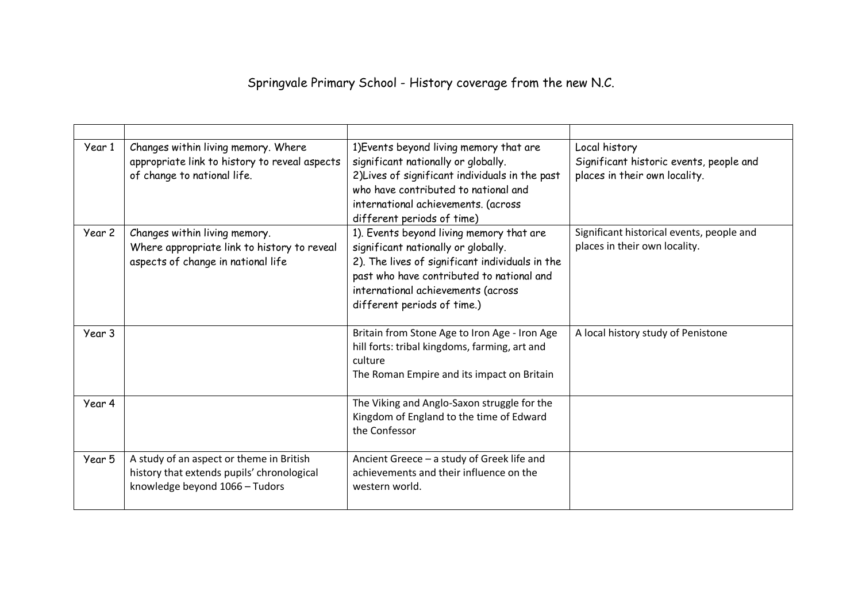## Springvale Primary School - History coverage from the new N.C.

| Year 1 | Changes within living memory. Where<br>appropriate link to history to reveal aspects<br>of change to national life.      | 1) Events beyond living memory that are<br>significant nationally or globally.<br>2) Lives of significant individuals in the past<br>who have contributed to national and<br>international achievements. (across<br>different periods of time)       | Local history<br>Significant historic events, people and<br>places in their own locality. |
|--------|--------------------------------------------------------------------------------------------------------------------------|------------------------------------------------------------------------------------------------------------------------------------------------------------------------------------------------------------------------------------------------------|-------------------------------------------------------------------------------------------|
| Year 2 | Changes within living memory.<br>Where appropriate link to history to reveal<br>aspects of change in national life       | 1). Events beyond living memory that are<br>significant nationally or globally.<br>2). The lives of significant individuals in the<br>past who have contributed to national and<br>international achievements (across<br>different periods of time.) | Significant historical events, people and<br>places in their own locality.                |
| Year 3 |                                                                                                                          | Britain from Stone Age to Iron Age - Iron Age<br>hill forts: tribal kingdoms, farming, art and<br>culture<br>The Roman Empire and its impact on Britain                                                                                              | A local history study of Penistone                                                        |
| Year 4 |                                                                                                                          | The Viking and Anglo-Saxon struggle for the<br>Kingdom of England to the time of Edward<br>the Confessor                                                                                                                                             |                                                                                           |
| Year 5 | A study of an aspect or theme in British<br>history that extends pupils' chronological<br>knowledge beyond 1066 - Tudors | Ancient Greece - a study of Greek life and<br>achievements and their influence on the<br>western world.                                                                                                                                              |                                                                                           |